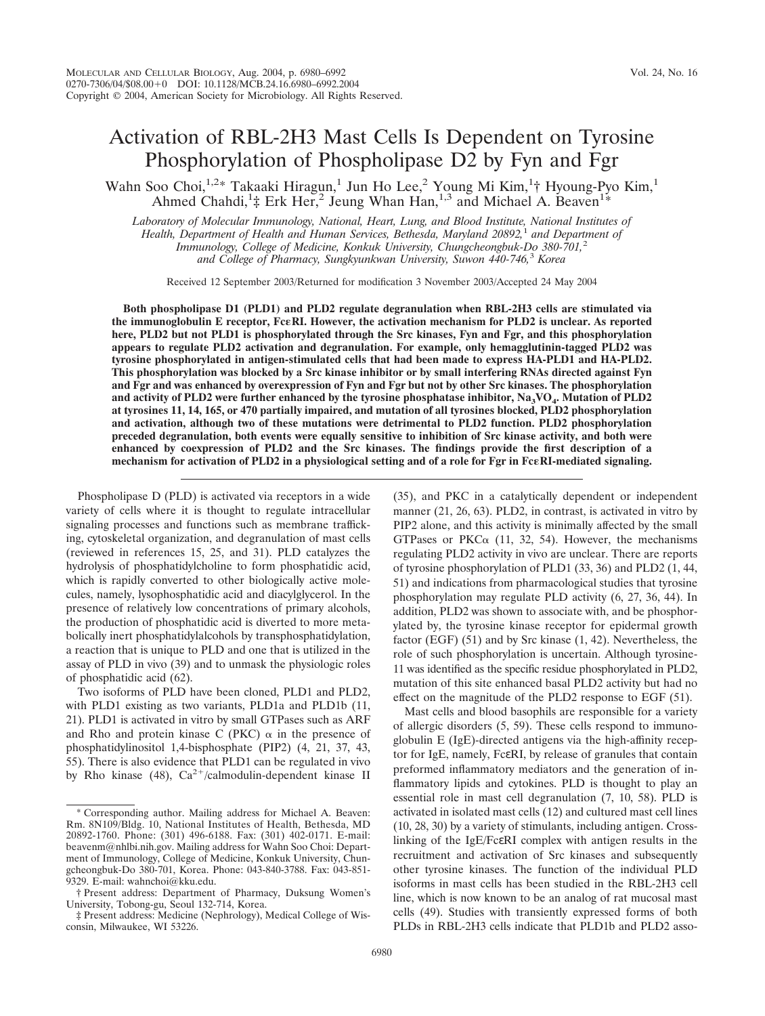# Activation of RBL-2H3 Mast Cells Is Dependent on Tyrosine Phosphorylation of Phospholipase D2 by Fyn and Fgr

Wahn Soo Choi,<sup>1,2\*</sup> Takaaki Hiragun,<sup>1</sup> Jun Ho Lee,<sup>2</sup> Young Mi Kim,<sup>1</sup>† Hyoung-Pyo Kim,<sup>1</sup> Ahmed Chahdi,<sup>1</sup>‡ Erk Her,<sup>2</sup> Jeung Whan Han,<sup>1,3</sup> and Michael A. Beaven<sup>1\*</sup>

*Laboratory of Molecular Immunology, National, Heart, Lung, and Blood Institute, National Institutes of Health, Department of Health and Human Services, Bethesda, Maryland 20892,*<sup>1</sup> *and Department of Immunology, College of Medicine, Konkuk University, Chungcheongbuk-Do 380-701,*<sup>2</sup> *and College of Pharmacy, Sungkyunkwan University, Suwon 440-746,*<sup>3</sup> *Korea*

Received 12 September 2003/Returned for modification 3 November 2003/Accepted 24 May 2004

**Both phospholipase D1 (PLD1) and PLD2 regulate degranulation when RBL-2H3 cells are stimulated via the immunoglobulin E receptor, FcRI. However, the activation mechanism for PLD2 is unclear. As reported here, PLD2 but not PLD1 is phosphorylated through the Src kinases, Fyn and Fgr, and this phosphorylation appears to regulate PLD2 activation and degranulation. For example, only hemagglutinin-tagged PLD2 was tyrosine phosphorylated in antigen-stimulated cells that had been made to express HA-PLD1 and HA-PLD2. This phosphorylation was blocked by a Src kinase inhibitor or by small interfering RNAs directed against Fyn and Fgr and was enhanced by overexpression of Fyn and Fgr but not by other Src kinases. The phosphorylation** and activity of PLD2 were further enhanced by the tyrosine phosphatase inhibitor,  $Na<sub>3</sub>VO<sub>4</sub>$ . Mutation of PLD2 **at tyrosines 11, 14, 165, or 470 partially impaired, and mutation of all tyrosines blocked, PLD2 phosphorylation and activation, although two of these mutations were detrimental to PLD2 function. PLD2 phosphorylation preceded degranulation, both events were equally sensitive to inhibition of Src kinase activity, and both were enhanced by coexpression of PLD2 and the Src kinases. The findings provide the first description of a mechanism for activation of PLD2 in a physiological setting and of a role for Fgr in Fc** $\epsilon$ **RI-mediated signaling.** 

Phospholipase D (PLD) is activated via receptors in a wide variety of cells where it is thought to regulate intracellular signaling processes and functions such as membrane trafficking, cytoskeletal organization, and degranulation of mast cells (reviewed in references 15, 25, and 31). PLD catalyzes the hydrolysis of phosphatidylcholine to form phosphatidic acid, which is rapidly converted to other biologically active molecules, namely, lysophosphatidic acid and diacylglycerol. In the presence of relatively low concentrations of primary alcohols, the production of phosphatidic acid is diverted to more metabolically inert phosphatidylalcohols by transphosphatidylation, a reaction that is unique to PLD and one that is utilized in the assay of PLD in vivo (39) and to unmask the physiologic roles of phosphatidic acid (62).

Two isoforms of PLD have been cloned, PLD1 and PLD2, with PLD1 existing as two variants, PLD1a and PLD1b (11, 21). PLD1 is activated in vitro by small GTPases such as ARF and Rho and protein kinase C (PKC)  $\alpha$  in the presence of phosphatidylinositol 1,4-bisphosphate (PIP2) (4, 21, 37, 43, 55). There is also evidence that PLD1 can be regulated in vivo by Rho kinase (48),  $Ca^{2+}/cal$ calmodulin-dependent kinase II

(35), and PKC in a catalytically dependent or independent manner (21, 26, 63). PLD2, in contrast, is activated in vitro by PIP2 alone, and this activity is minimally affected by the small GTPases or PKC $\alpha$  (11, 32, 54). However, the mechanisms regulating PLD2 activity in vivo are unclear. There are reports of tyrosine phosphorylation of PLD1 (33, 36) and PLD2 (1, 44, 51) and indications from pharmacological studies that tyrosine phosphorylation may regulate PLD activity (6, 27, 36, 44). In addition, PLD2 was shown to associate with, and be phosphorylated by, the tyrosine kinase receptor for epidermal growth factor (EGF) (51) and by Src kinase (1, 42). Nevertheless, the role of such phosphorylation is uncertain. Although tyrosine-11 was identified as the specific residue phosphorylated in PLD2, mutation of this site enhanced basal PLD2 activity but had no effect on the magnitude of the PLD2 response to EGF (51).

Mast cells and blood basophils are responsible for a variety of allergic disorders (5, 59). These cells respond to immunoglobulin E (IgE)-directed antigens via the high-affinity receptor for IgE, namely, FcεRI, by release of granules that contain preformed inflammatory mediators and the generation of inflammatory lipids and cytokines. PLD is thought to play an essential role in mast cell degranulation (7, 10, 58). PLD is activated in isolated mast cells (12) and cultured mast cell lines (10, 28, 30) by a variety of stimulants, including antigen. Crosslinking of the IgE/FcεRI complex with antigen results in the recruitment and activation of Src kinases and subsequently other tyrosine kinases. The function of the individual PLD isoforms in mast cells has been studied in the RBL-2H3 cell line, which is now known to be an analog of rat mucosal mast cells (49). Studies with transiently expressed forms of both PLDs in RBL-2H3 cells indicate that PLD1b and PLD2 asso-

Corresponding author. Mailing address for Michael A. Beaven: Rm. 8N109/Bldg. 10, National Institutes of Health, Bethesda, MD 20892-1760. Phone: (301) 496-6188. Fax: (301) 402-0171. E-mail: beavenm@nhlbi.nih.gov. Mailing address for Wahn Soo Choi: Department of Immunology, College of Medicine, Konkuk University, Chungcheongbuk-Do 380-701, Korea. Phone: 043-840-3788. Fax: 043-851- 9329. E-mail: wahnchoi@kku.edu.

<sup>†</sup> Present address: Department of Pharmacy, Duksung Women's University, Tobong-gu, Seoul 132-714, Korea.

<sup>‡</sup> Present address: Medicine (Nephrology), Medical College of Wisconsin, Milwaukee, WI 53226.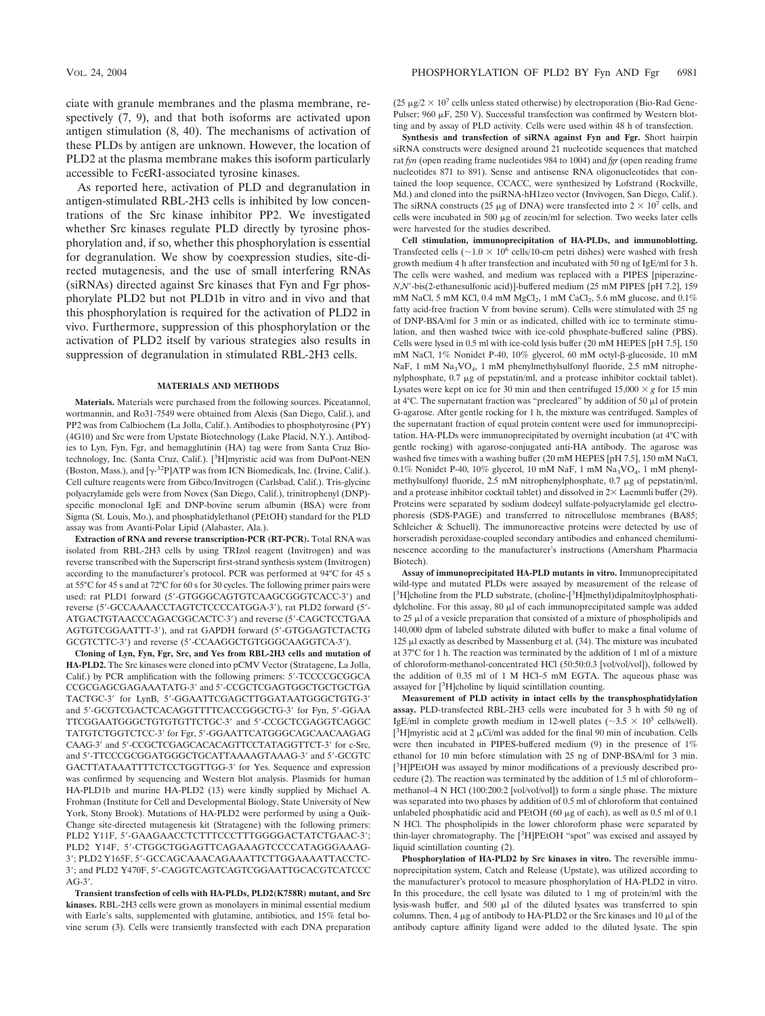ciate with granule membranes and the plasma membrane, respectively (7, 9), and that both isoforms are activated upon antigen stimulation (8, 40). The mechanisms of activation of these PLDs by antigen are unknown. However, the location of PLD2 at the plasma membrane makes this isoform particularly accessible to FcεRI-associated tyrosine kinases.

As reported here, activation of PLD and degranulation in antigen-stimulated RBL-2H3 cells is inhibited by low concentrations of the Src kinase inhibitor PP2. We investigated whether Src kinases regulate PLD directly by tyrosine phosphorylation and, if so, whether this phosphorylation is essential for degranulation. We show by coexpression studies, site-directed mutagenesis, and the use of small interfering RNAs (siRNAs) directed against Src kinases that Fyn and Fgr phosphorylate PLD2 but not PLD1b in vitro and in vivo and that this phosphorylation is required for the activation of PLD2 in vivo. Furthermore, suppression of this phosphorylation or the activation of PLD2 itself by various strategies also results in suppression of degranulation in stimulated RBL-2H3 cells.

### **MATERIALS AND METHODS**

**Materials.** Materials were purchased from the following sources. Piceatannol, wortmannin, and Ro31-7549 were obtained from Alexis (San Diego, Calif.), and PP2 was from Calbiochem (La Jolla, Calif.). Antibodies to phosphotyrosine (PY) (4G10) and Src were from Upstate Biotechnology (Lake Placid, N.Y.). Antibodies to Lyn, Fyn, Fgr, and hemagglutinin (HA) tag were from Santa Cruz Biotechnology, Inc. (Santa Cruz, Calif.). [<sup>3</sup>H]myristic acid was from DuPont-NEN (Boston, Mass.), and  $[\gamma^{-32}P]ATP$  was from ICN Biomedicals, Inc. (Irvine, Calif.). Cell culture reagents were from Gibco/Invitrogen (Carlsbad, Calif.). Tris-glycine polyacrylamide gels were from Novex (San Diego, Calif.), trinitrophenyl (DNP) specific monoclonal IgE and DNP-bovine serum albumin (BSA) were from Sigma (St. Louis, Mo.), and phosphatidylethanol (PEtOH) standard for the PLD assay was from Avanti-Polar Lipid (Alabaster, Ala.).

**Extraction of RNA and reverse transcription-PCR (RT-PCR).** Total RNA was isolated from RBL-2H3 cells by using TRIzol reagent (Invitrogen) and was reverse transcribed with the Superscript first-strand synthesis system (Invitrogen) according to the manufacturer's protocol. PCR was performed at 94°C for 45 s at 55°C for 45 s and at 72°C for 60 s for 30 cycles. The following primer pairs were used: rat PLD1 forward (5'-GTGGGCAGTGTCAAGCGGGTCACC-3') and reverse (5'-GCCAAAACCTAGTCTCCCCATGGA-3'), rat PLD2 forward (5'-ATGACTGTAACCCAGACGGCACTC-3) and reverse (5-CAGCTCCTGAA AGTGTCGGAATTT-3), and rat GAPDH forward (5-GTGGAGTCTACTG GCGTCTTC-3) and reverse (5-CCAAGGCTGTGGGCAAGGTCA-3).

**Cloning of Lyn, Fyn, Fgr, Src, and Yes from RBL-2H3 cells and mutation of HA-PLD2.** The Src kinases were cloned into pCMV Vector (Stratagene, La Jolla, Calif.) by PCR amplification with the following primers: 5'-TCCCCGCGGCA CCGCGAGCGAGAAATATG-3' and 5'-CCGCTCGAGTGGCTGCTGCTGA TACTGC-3' for LynB, 5'-GGAATTCGAGCTTGGATAATGGGCTGTG-3' and 5'-GCGTCGACTCACAGGTTTTCACCGGGCTG-3' for Fyn, 5'-GGAA TTCGGAATGGGCTGTGTGTTCTGC-3' and 5'-CCGCTCGAGGTCAGGC TATGTCTGGTCTCC-3' for Fgr, 5'-GGAATTCATGGGCAGCAACAAGAG CAAG-3' and 5'-CCGCTCGAGCACACAGTTCCTATAGGTTCT-3' for c-Src, and 5'-TTCCCGCGGATGGGCTGCATTAAAAGTAAAG-3' and 5'-GCGTC GACTTATAAATTTTCTCCTGGTTGG-3' for Yes. Sequence and expression was confirmed by sequencing and Western blot analysis. Plasmids for human HA-PLD1b and murine HA-PLD2 (13) were kindly supplied by Michael A. Frohman (Institute for Cell and Developmental Biology, State University of New York, Stony Brook). Mutations of HA-PLD2 were performed by using a Quik-Change site-directed mutagenesis kit (Stratagene) with the following primers: PLD2 Y11F, 5'-GAAGAACCTCTTTCCCTTTGGGGACTATCTGAAC-3'; PLD2 Y14F, 5'-CTGGCTGGAGTTCAGAAAGTCCCCATAGGGAAAG-3; PLD2 Y165F, 5-GCCAGCAAACAGAAATTCTTGGAAAATTACCTC-3; and PLD2 Y470F, 5-CAGGTCAGTCAGTCGGAATTGCACGTCATCCC  $AG-3'$ .

**Transient transfection of cells with HA-PLDs, PLD2(K758R) mutant, and Src kinases.** RBL-2H3 cells were grown as monolayers in minimal essential medium with Earle's salts, supplemented with glutamine, antibiotics, and 15% fetal bovine serum (3). Cells were transiently transfected with each DNA preparation (25  $\mu$ g/2  $\times$  10<sup>7</sup> cells unless stated otherwise) by electroporation (Bio-Rad Gene-Pulser; 960  $\mu$ F, 250 V). Successful transfection was confirmed by Western blotting and by assay of PLD activity. Cells were used within 48 h of transfection.

**Synthesis and transfection of siRNA against Fyn and Fgr.** Short hairpin siRNA constructs were designed around 21 nucleotide sequences that matched rat *fyn* (open reading frame nucleotides 984 to 1004) and *fgr* (open reading frame nucleotides 871 to 891). Sense and antisense RNA oligonucleotides that contained the loop sequence, CCACC, were synthesized by Lofstrand (Rockville, Md.) and cloned into the psiRNA-hH1zeo vector (Invivogen, San Diego, Calif.). The siRNA constructs (25  $\mu$ g of DNA) were transfected into 2  $\times$  10<sup>7</sup> cells, and cells were incubated in 500  $\mu$ g of zeocin/ml for selection. Two weeks later cells were harvested for the studies described.

**Cell stimulation, immunoprecipitation of HA-PLDs, and immunoblotting.** Transfected cells ( $\sim$ 1.0  $\times$  10<sup>6</sup> cells/10-cm petri dishes) were washed with fresh growth medium 4 h after transfection and incubated with 50 ng of IgE/ml for 3 h. The cells were washed, and medium was replaced with a PIPES [piperazine-*N*,*N*-bis(2-ethanesulfonic acid)]-buffered medium (25 mM PIPES [pH 7.2], 159 mM NaCl, 5 mM KCl, 0.4 mM MgCl<sub>2</sub>, 1 mM CaCl<sub>2</sub>, 5.6 mM glucose, and 0.1% fatty acid-free fraction V from bovine serum). Cells were stimulated with 25 ng of DNP-BSA/ml for 3 min or as indicated, chilled with ice to terminate stimulation, and then washed twice with ice-cold phosphate-buffered saline (PBS). Cells were lysed in 0.5 ml with ice-cold lysis buffer (20 mM HEPES [pH 7.5], 150 mM NaCl, 1% Nonidet P-40, 10% glycerol, 60 mM octyl-ß-glucoside, 10 mM NaF, 1 mM Na<sub>3</sub>VO<sub>4</sub>, 1 mM phenylmethylsulfonyl fluoride, 2.5 mM nitrophenylphosphate,  $0.7 \mu g$  of pepstatin/ml, and a protease inhibitor cocktail tablet). Lysates were kept on ice for 30 min and then centrifuged  $15,000 \times g$  for 15 min at  $4^{\circ}$ C. The supernatant fraction was "precleared" by addition of 50  $\mu$ l of protein G-agarose. After gentle rocking for 1 h, the mixture was centrifuged. Samples of the supernatant fraction of equal protein content were used for immunoprecipitation. HA-PLDs were immunoprecipitated by overnight incubation (at 4°C with gentle rocking) with agarose-conjugated anti-HA antibody. The agarose was washed five times with a washing buffer (20 mM HEPES [pH 7.5], 150 mM NaCl, 0.1% Nonidet P-40, 10% glycerol, 10 mM NaF, 1 mM Na<sub>3</sub>VO<sub>4</sub>, 1 mM phenylmethylsulfonyl fluoride,  $2.5 \text{ mM}$  nitrophenylphosphate,  $0.7 \mu$ g of pepstatin/ml, and a protease inhibitor cocktail tablet) and dissolved in  $2\times$  Laemmli buffer (29). Proteins were separated by sodium dodecyl sulfate-polyacrylamide gel electrophoresis (SDS-PAGE) and transferred to nitrocellulose membranes (BA85; Schleicher & Schuell). The immunoreactive proteins were detected by use of horseradish peroxidase-coupled secondary antibodies and enhanced chemiluminescence according to the manufacturer's instructions (Amersham Pharmacia Biotech).

**Assay of immunoprecipitated HA-PLD mutants in vitro.** Immunoprecipitated wild-type and mutated PLDs were assayed by measurement of the release of [<sup>3</sup>H]choline from the PLD substrate, (choline-[<sup>3</sup>H]methyl)dipalmitoylphosphatidylcholine. For this assay,  $80 \mu l$  of each immunoprecipitated sample was added to 25  $\mu$ l of a vesicle preparation that consisted of a mixture of phospholipids and 140,000 dpm of labeled substrate diluted with buffer to make a final volume of 125  $\mu$ l exactly as described by Massenburg et al. (34). The mixture was incubated at 37°C for 1 h. The reaction was terminated by the addition of 1 ml of a mixture of chloroform-methanol-concentrated HCl (50:50:0.3 [vol/vol/vol]), followed by the addition of 0.35 ml of 1 M HCl–5 mM EGTA. The aqueous phase was assayed for [<sup>3</sup>H]choline by liquid scintillation counting.

**Measurement of PLD activity in intact cells by the transphosphatidylation assay.** PLD-transfected RBL-2H3 cells were incubated for 3 h with 50 ng of IgE/ml in complete growth medium in 12-well plates ( $\sim$ 3.5  $\times$  10<sup>5</sup> cells/well). [<sup>3</sup>H]myristic acid at 2  $\mu$ Ci/ml was added for the final 90 min of incubation. Cells were then incubated in PIPES-buffered medium (9) in the presence of 1% ethanol for 10 min before stimulation with 25 ng of DNP-BSA/ml for 3 min. [ 3 H]PEtOH was assayed by minor modifications of a previously described procedure (2). The reaction was terminated by the addition of 1.5 ml of chloroform– methanol–4 N HCl (100:200:2 [vol/vol/vol]) to form a single phase. The mixture was separated into two phases by addition of 0.5 ml of chloroform that contained unlabeled phosphatidic acid and PEtOH (60  $\mu$ g of each), as well as 0.5 ml of 0.1 N HCl. The phospholipids in the lower chloroform phase were separated by thin-layer chromatography. The [<sup>3</sup>H]PEtOH "spot" was excised and assayed by liquid scintillation counting (2).

**Phosphorylation of HA-PLD2 by Src kinases in vitro.** The reversible immunoprecipitation system, Catch and Release (Upstate), was utilized according to the manufacturer's protocol to measure phosphorylation of HA-PLD2 in vitro. In this procedure, the cell lysate was diluted to 1 mg of protein/ml with the lysis-wash buffer, and 500  $\mu$ l of the diluted lysates was transferred to spin columns. Then, 4  $\mu$ g of antibody to HA-PLD2 or the Src kinases and 10  $\mu$ l of the antibody capture affinity ligand were added to the diluted lysate. The spin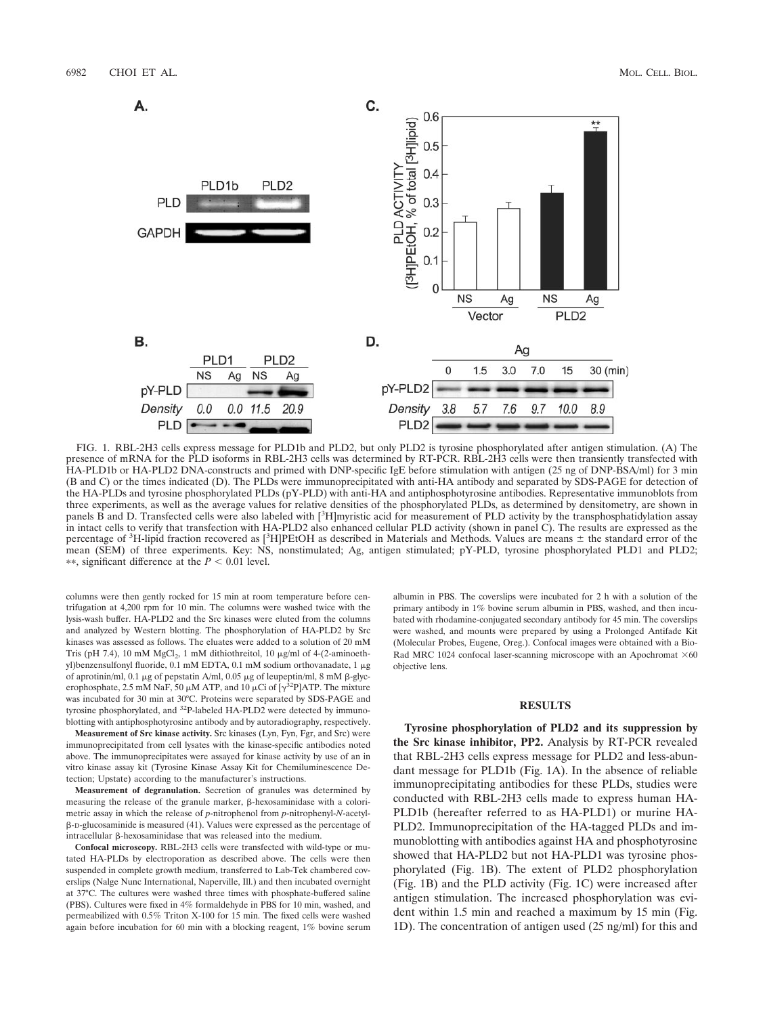

FIG. 1. RBL-2H3 cells express message for PLD1b and PLD2, but only PLD2 is tyrosine phosphorylated after antigen stimulation. (A) The presence of mRNA for the PLD isoforms in RBL-2H3 cells was determined by RT-PCR. RBL-2H3 cells were then transiently transfected with HA-PLD1b or HA-PLD2 DNA-constructs and primed with DNP-specific IgE before stimulation with antigen (25 ng of DNP-BSA/ml) for 3 min (B and C) or the times indicated (D). The PLDs were immunoprecipitated with anti-HA antibody and separated by SDS-PAGE for detection of the HA-PLDs and tyrosine phosphorylated PLDs (pY-PLD) with anti-HA and antiphosphotyrosine antibodies. Representative immunoblots from three experiments, as well as the average values for relative densities of the phosphorylated PLDs, as determined by densitometry, are shown in panels  $\vec{B}$  and D. Transfected cells were also labeled with [ ${}^{3}H$ ]myristic acid for measurement of PLD activity by the transphosphatidylation assay in intact cells to verify that transfection with HA-PLD2 also enhanced cellular PLD activity (shown in panel C). The results are expressed as the percentage of  ${}^{3}$ H-lipid fraction recovered as  $[{}^{3}$ H]PEtOH as described in Materials and Methods. Values are means  $\pm$  the standard error of the mean (SEM) of three experiments. Key: NS, nonstimulated; Ag, antigen stimulated; pY-PLD, tyrosine phosphorylated PLD1 and PLD2;  $**$ , significant difference at the  $P < 0.01$  level.

columns were then gently rocked for 15 min at room temperature before centrifugation at 4,200 rpm for 10 min. The columns were washed twice with the lysis-wash buffer. HA-PLD2 and the Src kinases were eluted from the columns and analyzed by Western blotting. The phosphorylation of HA-PLD2 by Src kinases was assessed as follows. The eluates were added to a solution of 20 mM Tris (pH 7.4), 10 mM MgCl<sub>2</sub>, 1 mM dithiothreitol, 10  $\mu$ g/ml of 4-(2-aminoethyl)benzensulfonyl fluoride,  $0.1 \text{ mM}$  EDTA,  $0.1 \text{ mM}$  sodium orthovanadate,  $1 \mu$ g of aprotinin/ml, 0.1  $\mu$ g of pepstatin A/ml, 0.05  $\mu$ g of leupeptin/ml, 8 mM  $\beta$ -glycerophosphate, 2.5 mM NaF, 50  $\mu$ M ATP, and 10  $\mu$ Ci of [ $\gamma^{32}P$ ]ATP. The mixture was incubated for 30 min at 30°C. Proteins were separated by SDS-PAGE and tyrosine phosphorylated, and 32P-labeled HA-PLD2 were detected by immunoblotting with antiphosphotyrosine antibody and by autoradiography, respectively.

**Measurement of Src kinase activity.** Src kinases (Lyn, Fyn, Fgr, and Src) were immunoprecipitated from cell lysates with the kinase-specific antibodies noted above. The immunoprecipitates were assayed for kinase activity by use of an in vitro kinase assay kit (Tyrosine Kinase Assay Kit for Chemiluminescence Detection; Upstate) according to the manufacturer's instructions.

**Measurement of degranulation.** Secretion of granules was determined by measuring the release of the granule marker,  $\beta$ -hexosaminidase with a colorimetric assay in which the release of *p*-nitrophenol from *p*-nitrophenyl-*N*-acetyl- -D-glucosaminide is measured (41). Values were expressed as the percentage of intracellular  $\beta$ -hexosaminidase that was released into the medium.

**Confocal microscopy.** RBL-2H3 cells were transfected with wild-type or mutated HA-PLDs by electroporation as described above. The cells were then suspended in complete growth medium, transferred to Lab-Tek chambered coverslips (Nalge Nunc International, Naperville, Ill.) and then incubated overnight at 37°C. The cultures were washed three times with phosphate-buffered saline (PBS). Cultures were fixed in 4% formaldehyde in PBS for 10 min, washed, and permeabilized with 0.5% Triton X-100 for 15 min. The fixed cells were washed again before incubation for 60 min with a blocking reagent, 1% bovine serum albumin in PBS. The coverslips were incubated for 2 h with a solution of the primary antibody in 1% bovine serum albumin in PBS, washed, and then incubated with rhodamine-conjugated secondary antibody for 45 min. The coverslips were washed, and mounts were prepared by using a Prolonged Antifade Kit (Molecular Probes, Eugene, Oreg.). Confocal images were obtained with a Bio-Rad MRC 1024 confocal laser-scanning microscope with an Apochromat  $\times 60$ objective lens.

### **RESULTS**

**Tyrosine phosphorylation of PLD2 and its suppression by the Src kinase inhibitor, PP2.** Analysis by RT-PCR revealed that RBL-2H3 cells express message for PLD2 and less-abundant message for PLD1b (Fig. 1A). In the absence of reliable immunoprecipitating antibodies for these PLDs, studies were conducted with RBL-2H3 cells made to express human HA-PLD1b (hereafter referred to as HA-PLD1) or murine HA-PLD2. Immunoprecipitation of the HA-tagged PLDs and immunoblotting with antibodies against HA and phosphotyrosine showed that HA-PLD2 but not HA-PLD1 was tyrosine phosphorylated (Fig. 1B). The extent of PLD2 phosphorylation (Fig. 1B) and the PLD activity (Fig. 1C) were increased after antigen stimulation. The increased phosphorylation was evident within 1.5 min and reached a maximum by 15 min (Fig. 1D). The concentration of antigen used (25 ng/ml) for this and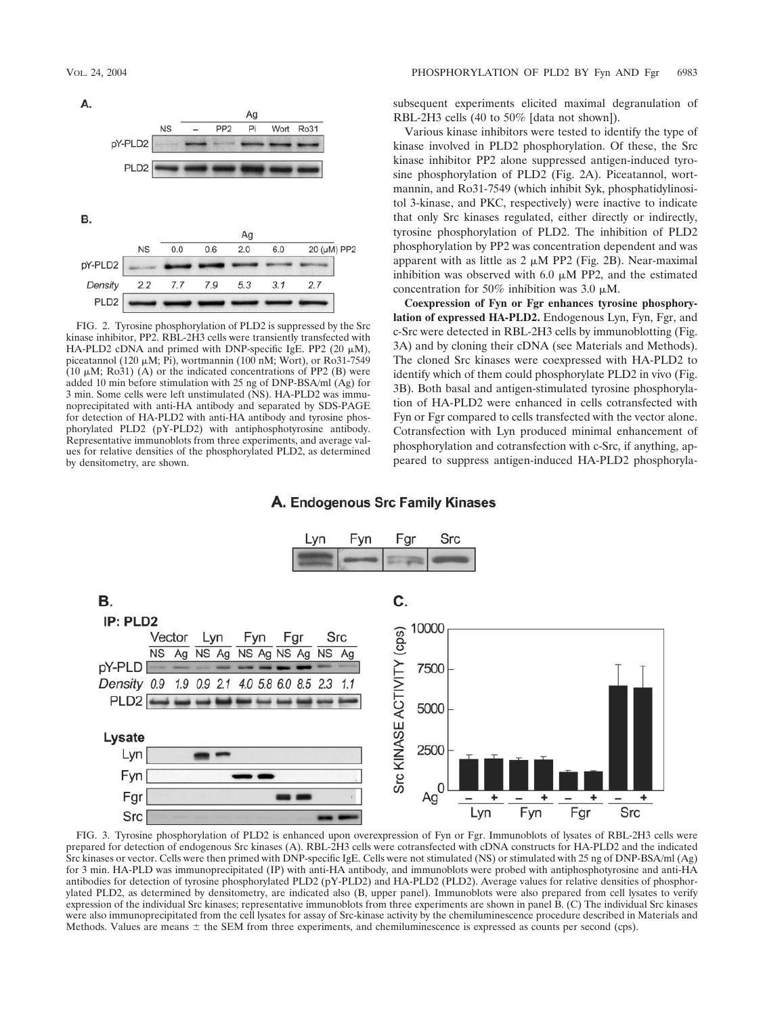

FIG. 2. Tyrosine phosphorylation of PLD2 is suppressed by the Src kinase inhibitor, PP2. RBL-2H3 cells were transiently transfected with HA-PLD2 cDNA and primed with DNP-specific IgE. PP2 (20  $\mu$ M), piceatannol (120  $\mu$ M; Pi), wortmannin (100 nM; Wort), or Ro31-7549 (10  $\mu$ M; Ro31) (A) or the indicated concentrations of PP2 (B) were added 10 min before stimulation with 25 ng of DNP-BSA/ml (Ag) for 3 min. Some cells were left unstimulated (NS). HA-PLD2 was immunoprecipitated with anti-HA antibody and separated by SDS-PAGE for detection of HA-PLD2 with anti-HA antibody and tyrosine phosphorylated PLD2 (pY-PLD2) with antiphosphotyrosine antibody. Representative immunoblots from three experiments, and average values for relative densities of the phosphorylated PLD2, as determined by densitometry, are shown.

subsequent experiments elicited maximal degranulation of RBL-2H3 cells (40 to 50% [data not shown]).

Various kinase inhibitors were tested to identify the type of kinase involved in PLD2 phosphorylation. Of these, the Src kinase inhibitor PP2 alone suppressed antigen-induced tyrosine phosphorylation of PLD2 (Fig. 2A). Piceatannol, wortmannin, and Ro31-7549 (which inhibit Syk, phosphatidylinositol 3-kinase, and PKC, respectively) were inactive to indicate that only Src kinases regulated, either directly or indirectly, tyrosine phosphorylation of PLD2. The inhibition of PLD2 phosphorylation by PP2 was concentration dependent and was apparent with as little as  $2 \mu M$  PP2 (Fig. 2B). Near-maximal inhibition was observed with 6.0  $\mu$ M PP2, and the estimated concentration for 50% inhibition was 3.0  $\mu$ M.

**Coexpression of Fyn or Fgr enhances tyrosine phosphorylation of expressed HA-PLD2.** Endogenous Lyn, Fyn, Fgr, and c-Src were detected in RBL-2H3 cells by immunoblotting (Fig. 3A) and by cloning their cDNA (see Materials and Methods). The cloned Src kinases were coexpressed with HA-PLD2 to identify which of them could phosphorylate PLD2 in vivo (Fig. 3B). Both basal and antigen-stimulated tyrosine phosphorylation of HA-PLD2 were enhanced in cells cotransfected with Fyn or Fgr compared to cells transfected with the vector alone. Cotransfection with Lyn produced minimal enhancement of phosphorylation and cotransfection with c-Src, if anything, appeared to suppress antigen-induced HA-PLD2 phosphoryla-

## A. Endogenous Src Family Kinases



FIG. 3. Tyrosine phosphorylation of PLD2 is enhanced upon overexpression of Fyn or Fgr. Immunoblots of lysates of RBL-2H3 cells were prepared for detection of endogenous Src kinases (A). RBL-2H3 cells were cotransfected with cDNA constructs for HA-PLD2 and the indicated Src kinases or vector. Cells were then primed with DNP-specific IgE. Cells were not stimulated (NS) or stimulated with 25 ng of DNP-BSA/ml (Ag) for 3 min. HA-PLD was immunoprecipitated (IP) with anti-HA antibody, and immunoblots were probed with antiphosphotyrosine and anti-HA antibodies for detection of tyrosine phosphorylated PLD2 (pY-PLD2) and HA-PLD2 (PLD2). Average values for relative densities of phosphorylated PLD2, as determined by densitometry, are indicated also (B, upper panel). Immunoblots were also prepared from cell lysates to verify expression of the individual Src kinases; representative immunoblots from three experiments are shown in panel B. (C) The individual Src kinases were also immunoprecipitated from the cell lysates for assay of Src-kinase activity by the chemiluminescence procedure described in Materials and Methods. Values are means  $\pm$  the SEM from three experiments, and chemiluminescence is expressed as counts per second (cps).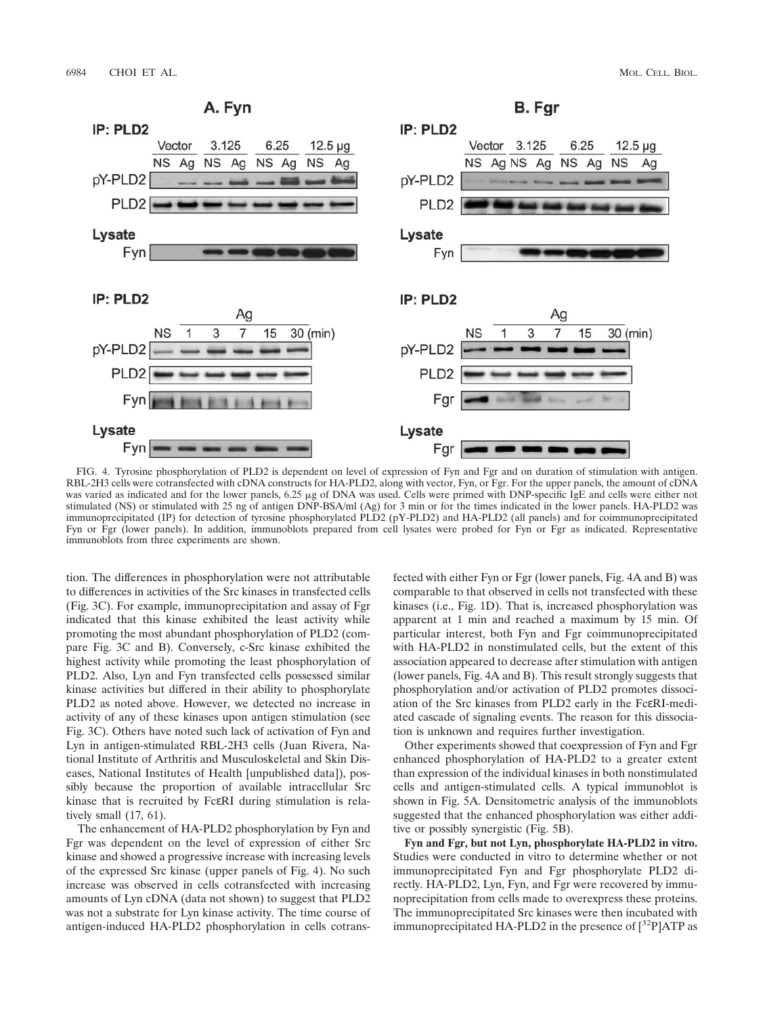

FIG. 4. Tyrosine phosphorylation of PLD2 is dependent on level of expression of Fyn and Fgr and on duration of stimulation with antigen. RBL-2H3 cells were cotransfected with cDNA constructs for HA-PLD2, along with vector, Fyn, or Fgr. For the upper panels, the amount of cDNA was varied as indicated and for the lower panels, 6.25 µg of DNA was used. Cells were primed with DNP-specific IgE and cells were either not stimulated (NS) or stimulated with 25 ng of antigen DNP-BSA/ml (Ag) for 3 min or for the times indicated in the lower panels. HA-PLD2 was immunoprecipitated (IP) for detection of tyrosine phosphorylated PLD2 (pY-PLD2) and HA-PLD2 (all panels) and for coimmunoprecipitated Fyn or Fgr (lower panels). In addition, immunoblots prepared from cell lysates were probed for Fyn or Fgr as indicated. Representative immunoblots from three experiments are shown.

tion. The differences in phosphorylation were not attributable to differences in activities of the Src kinases in transfected cells (Fig. 3C). For example, immunoprecipitation and assay of Fgr indicated that this kinase exhibited the least activity while promoting the most abundant phosphorylation of PLD2 (compare Fig. 3C and B). Conversely, c-Src kinase exhibited the highest activity while promoting the least phosphorylation of PLD2. Also, Lyn and Fyn transfected cells possessed similar kinase activities but differed in their ability to phosphorylate PLD2 as noted above. However, we detected no increase in activity of any of these kinases upon antigen stimulation (see Fig. 3C). Others have noted such lack of activation of Fyn and Lyn in antigen-stimulated RBL-2H3 cells (Juan Rivera, National Institute of Arthritis and Musculoskeletal and Skin Diseases, National Institutes of Health [unpublished data]), possibly because the proportion of available intracellular Src kinase that is recruited by FcεRI during stimulation is relatively small (17, 61).

The enhancement of HA-PLD2 phosphorylation by Fyn and Fgr was dependent on the level of expression of either Src kinase and showed a progressive increase with increasing levels of the expressed Src kinase (upper panels of Fig. 4). No such increase was observed in cells cotransfected with increasing amounts of Lyn cDNA (data not shown) to suggest that PLD2 was not a substrate for Lyn kinase activity. The time course of antigen-induced HA-PLD2 phosphorylation in cells cotransfected with either Fyn or Fgr (lower panels, Fig. 4A and B) was comparable to that observed in cells not transfected with these kinases (i.e., Fig. 1D). That is, increased phosphorylation was apparent at 1 min and reached a maximum by 15 min. Of particular interest, both Fyn and Fgr coimmunoprecipitated with HA-PLD2 in nonstimulated cells, but the extent of this association appeared to decrease after stimulation with antigen (lower panels, Fig. 4A and B). This result strongly suggests that phosphorylation and/or activation of PLD2 promotes dissociation of the Src kinases from PLD2 early in the FcεRI-mediated cascade of signaling events. The reason for this dissociation is unknown and requires further investigation.

Other experiments showed that coexpression of Fyn and Fgr enhanced phosphorylation of HA-PLD2 to a greater extent than expression of the individual kinases in both nonstimulated cells and antigen-stimulated cells. A typical immunoblot is shown in Fig. 5A. Densitometric analysis of the immunoblots suggested that the enhanced phosphorylation was either additive or possibly synergistic (Fig. 5B).

**Fyn and Fgr, but not Lyn, phosphorylate HA-PLD2 in vitro.** Studies were conducted in vitro to determine whether or not immunoprecipitated Fyn and Fgr phosphorylate PLD2 directly. HA-PLD2, Lyn, Fyn, and Fgr were recovered by immunoprecipitation from cells made to overexpress these proteins. The immunoprecipitated Src kinases were then incubated with immunoprecipitated HA-PLD2 in the presence of  $[^{32}P]$ ATP as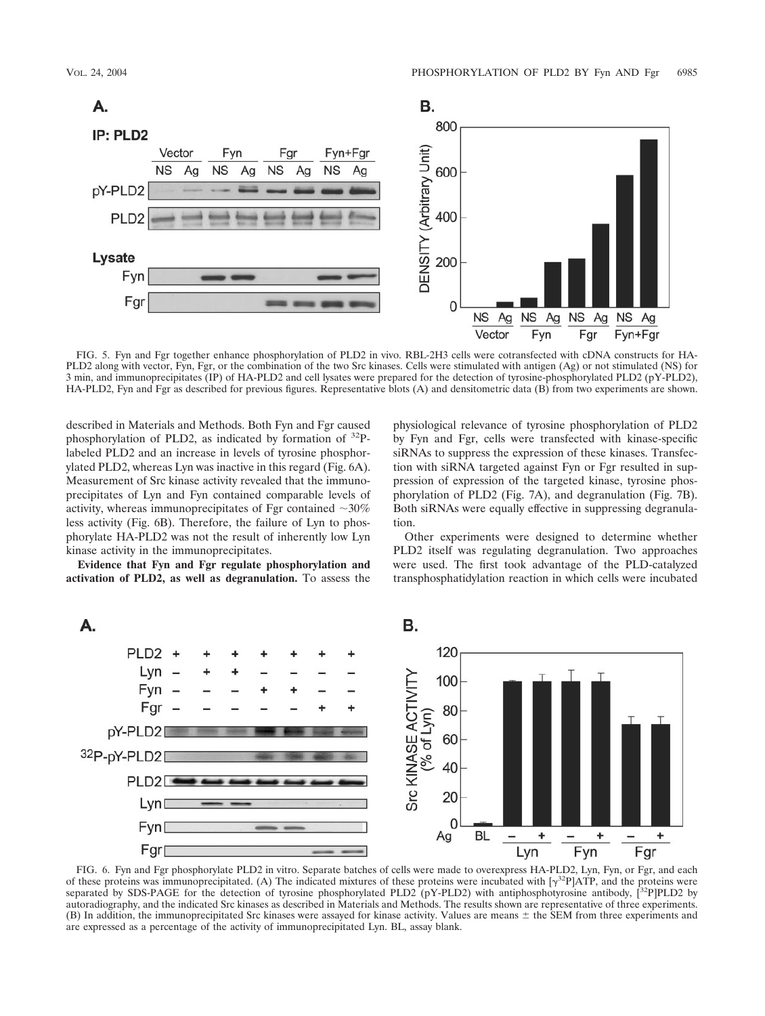

FIG. 5. Fyn and Fgr together enhance phosphorylation of PLD2 in vivo. RBL-2H3 cells were cotransfected with cDNA constructs for HA-PLD2 along with vector, Fyn, Fgr, or the combination of the two Src kinases. Cells were stimulated with antigen (Ag) or not stimulated (NS) for 3 min, and immunoprecipitates (IP) of HA-PLD2 and cell lysates were prepared for the detection of tyrosine-phosphorylated PLD2 (pY-PLD2), HA-PLD2, Fyn and Fgr as described for previous figures. Representative blots (A) and densitometric data (B) from two experiments are shown.

described in Materials and Methods. Both Fyn and Fgr caused phosphorylation of PLD2, as indicated by formation of  $^{32}P$ labeled PLD2 and an increase in levels of tyrosine phosphorylated PLD2, whereas Lyn was inactive in this regard (Fig. 6A). Measurement of Src kinase activity revealed that the immunoprecipitates of Lyn and Fyn contained comparable levels of activity, whereas immunoprecipitates of Fgr contained  $\sim$ 30% less activity (Fig. 6B). Therefore, the failure of Lyn to phosphorylate HA-PLD2 was not the result of inherently low Lyn kinase activity in the immunoprecipitates.

**Evidence that Fyn and Fgr regulate phosphorylation and activation of PLD2, as well as degranulation.** To assess the

physiological relevance of tyrosine phosphorylation of PLD2 by Fyn and Fgr, cells were transfected with kinase-specific siRNAs to suppress the expression of these kinases. Transfection with siRNA targeted against Fyn or Fgr resulted in suppression of expression of the targeted kinase, tyrosine phosphorylation of PLD2 (Fig. 7A), and degranulation (Fig. 7B). Both siRNAs were equally effective in suppressing degranulation.

Other experiments were designed to determine whether PLD2 itself was regulating degranulation. Two approaches were used. The first took advantage of the PLD-catalyzed transphosphatidylation reaction in which cells were incubated



FIG. 6. Fyn and Fgr phosphorylate PLD2 in vitro. Separate batches of cells were made to overexpress HA-PLD2, Lyn, Fyn, or Fgr, and each of these proteins was immunoprecipitated. (A) The indicated mixtures of these proteins were incubated with  $[\gamma^{32}P]ATP$ , and the proteins were separated by SDS-PAGE for the detection of tyrosine phosphorylated PLD2 (pY-PLD2) with antiphosphotyrosine antibody,  $[^{32}P]$ PLD2 by autoradiography, and the indicated Src kinases as described in Materials and Methods. The results shown are representative of three experiments. (B) In addition, the immunoprecipitated Src kinases were assayed for kinase activity. Values are means  $\pm$  the SEM from three experiments and are expressed as a percentage of the activity of immunoprecipitated Lyn. BL, assay blank.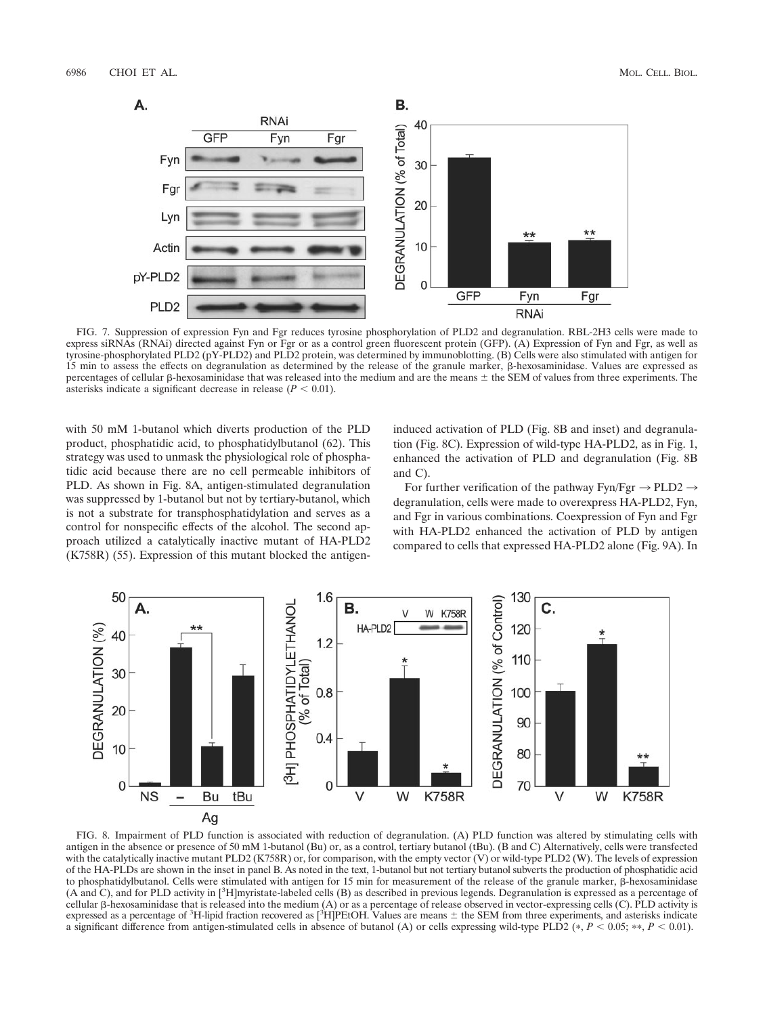

FIG. 7. Suppression of expression Fyn and Fgr reduces tyrosine phosphorylation of PLD2 and degranulation. RBL-2H3 cells were made to express siRNAs (RNAi) directed against Fyn or Fgr or as a control green fluorescent protein (GFP). (A) Expression of Fyn and Fgr, as well as tyrosine-phosphorylated PLD2 (pY-PLD2) and PLD2 protein, was determined by immunoblotting. (B) Cells were also stimulated with antigen for 15 min to assess the effects on degranulation as determined by the release of the granule marker,  $\beta$ -hexosaminidase. Values are expressed as percentages of cellular  $\beta$ -hexosaminidase that was released into the medium and are the means  $\pm$  the SEM of values from three experiments. The asterisks indicate a significant decrease in release  $(P < 0.01)$ .

with 50 mM 1-butanol which diverts production of the PLD product, phosphatidic acid, to phosphatidylbutanol (62). This strategy was used to unmask the physiological role of phosphatidic acid because there are no cell permeable inhibitors of PLD. As shown in Fig. 8A, antigen-stimulated degranulation was suppressed by 1-butanol but not by tertiary-butanol, which is not a substrate for transphosphatidylation and serves as a control for nonspecific effects of the alcohol. The second approach utilized a catalytically inactive mutant of HA-PLD2 (K758R) (55). Expression of this mutant blocked the antigeninduced activation of PLD (Fig. 8B and inset) and degranulation (Fig. 8C). Expression of wild-type HA-PLD2, as in Fig. 1, enhanced the activation of PLD and degranulation (Fig. 8B and C).

For further verification of the pathway Fyn/Fgr  $\rightarrow$  PLD2  $\rightarrow$ degranulation, cells were made to overexpress HA-PLD2, Fyn, and Fgr in various combinations. Coexpression of Fyn and Fgr with HA-PLD2 enhanced the activation of PLD by antigen compared to cells that expressed HA-PLD2 alone (Fig. 9A). In



FIG. 8. Impairment of PLD function is associated with reduction of degranulation. (A) PLD function was altered by stimulating cells with antigen in the absence or presence of 50 mM 1-butanol (Bu) or, as a control, tertiary butanol (tBu). (B and C) Alternatively, cells were transfected with the catalytically inactive mutant PLD2 (K758R) or, for comparison, with the empty vector (V) or wild-type PLD2 (W). The levels of expression of the HA-PLDs are shown in the inset in panel B. As noted in the text, 1-butanol but not tertiary butanol subverts the production of phosphatidic acid to phosphatidylbutanol. Cells were stimulated with antigen for 15 min for measurement of the release of the granule marker,  $\beta$ -hexosaminidase (A and C), and for PLD activity in [<sup>3</sup> H]myristate-labeled cells (B) as described in previous legends. Degranulation is expressed as a percentage of cellular  $\beta$ -hexosaminidase that is released into the medium  $(A)$  or as a percentage of release observed in vector-expressing cells  $(C)$ . PLD activity is expressed as a percentage of <sup>3</sup>H-lipid fraction recovered as [<sup>3</sup>H]PEtOH. Values are means  $\pm$  the SEM from three experiments, and asterisks indicate a significant difference from antigen-stimulated cells in absence of butanol (A) or cells expressing wild-type PLD2  $(*, P < 0.05; **, P < 0.01)$ .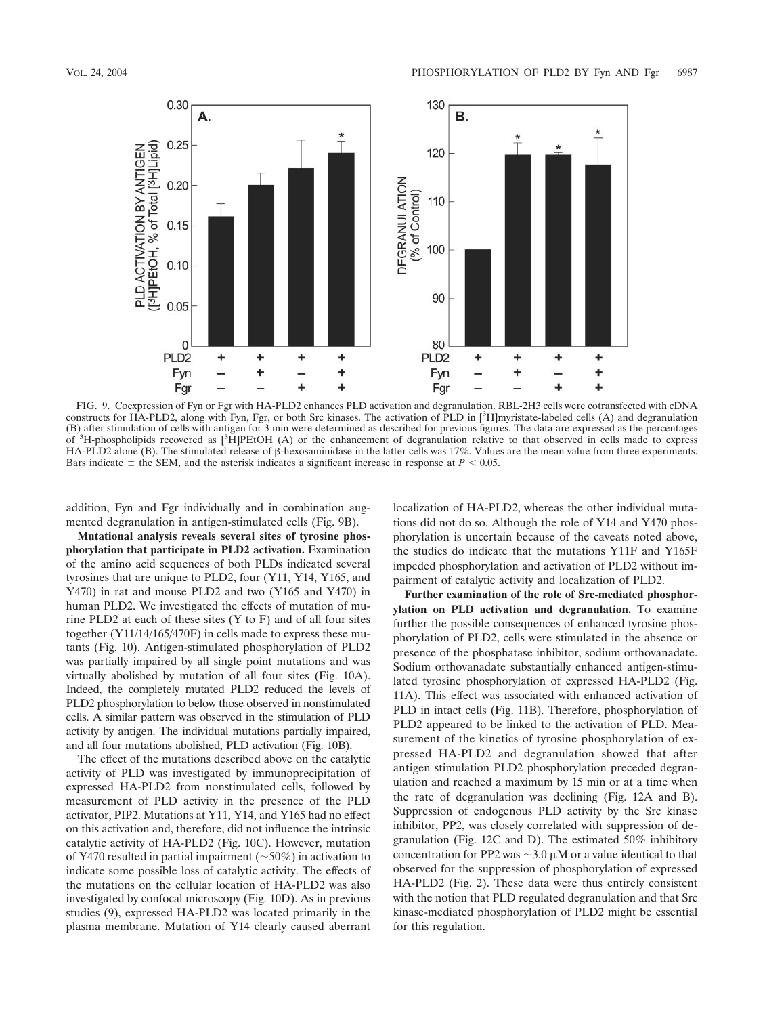

FIG. 9. Coexpression of Fyn or Fgr with HA-PLD2 enhances PLD activation and degranulation. RBL-2H3 cells were cotransfected with cDNA constructs for HA-PLD2, along with Fyn, Fgr, or both Src kinases. The activation of PLD in [3 H]myristate-labeled cells (A) and degranulation (B) after stimulation of cells with antigen for 3 min were determined as described for previous figures. The data are expressed as the percentages of <sup>3</sup>H-phospholipids recovered as [<sup>3</sup>H]PEtOH (A) or the enhancement of degranulation relative to that observed in cells made to express HA-PLD2 alone (B). The stimulated release of  $\beta$ -hexosaminidase in the latter cells was 17%. Values are the mean value from three experiments. Bars indicate  $\pm$  the SEM, and the asterisk indicates a significant increase in response at  $P < 0.05$ .

addition, Fyn and Fgr individually and in combination augmented degranulation in antigen-stimulated cells (Fig. 9B).

**Mutational analysis reveals several sites of tyrosine phosphorylation that participate in PLD2 activation.** Examination of the amino acid sequences of both PLDs indicated several tyrosines that are unique to PLD2, four (Y11, Y14, Y165, and Y470) in rat and mouse PLD2 and two (Y165 and Y470) in human PLD2. We investigated the effects of mutation of murine PLD2 at each of these sites  $(Y \text{ to } F)$  and of all four sites together (Y11/14/165/470F) in cells made to express these mutants (Fig. 10). Antigen-stimulated phosphorylation of PLD2 was partially impaired by all single point mutations and was virtually abolished by mutation of all four sites (Fig. 10A). Indeed, the completely mutated PLD2 reduced the levels of PLD2 phosphorylation to below those observed in nonstimulated cells. A similar pattern was observed in the stimulation of PLD activity by antigen. The individual mutations partially impaired, and all four mutations abolished, PLD activation (Fig. 10B).

The effect of the mutations described above on the catalytic activity of PLD was investigated by immunoprecipitation of expressed HA-PLD2 from nonstimulated cells, followed by measurement of PLD activity in the presence of the PLD activator, PIP2. Mutations at Y11, Y14, and Y165 had no effect on this activation and, therefore, did not influence the intrinsic catalytic activity of HA-PLD2 (Fig. 10C). However, mutation of Y470 resulted in partial impairment ( $\sim$ 50%) in activation to indicate some possible loss of catalytic activity. The effects of the mutations on the cellular location of HA-PLD2 was also investigated by confocal microscopy (Fig. 10D). As in previous studies (9), expressed HA-PLD2 was located primarily in the plasma membrane. Mutation of Y14 clearly caused aberrant

localization of HA-PLD2, whereas the other individual mutations did not do so. Although the role of Y14 and Y470 phosphorylation is uncertain because of the caveats noted above, the studies do indicate that the mutations Y11F and Y165F impeded phosphorylation and activation of PLD2 without impairment of catalytic activity and localization of PLD2.

**Further examination of the role of Src-mediated phosphorylation on PLD activation and degranulation.** To examine further the possible consequences of enhanced tyrosine phosphorylation of PLD2, cells were stimulated in the absence or presence of the phosphatase inhibitor, sodium orthovanadate. Sodium orthovanadate substantially enhanced antigen-stimulated tyrosine phosphorylation of expressed HA-PLD2 (Fig. 11A). This effect was associated with enhanced activation of PLD in intact cells (Fig. 11B). Therefore, phosphorylation of PLD2 appeared to be linked to the activation of PLD. Measurement of the kinetics of tyrosine phosphorylation of expressed HA-PLD2 and degranulation showed that after antigen stimulation PLD2 phosphorylation preceded degranulation and reached a maximum by 15 min or at a time when the rate of degranulation was declining (Fig. 12A and B). Suppression of endogenous PLD activity by the Src kinase inhibitor, PP2, was closely correlated with suppression of degranulation (Fig. 12C and D). The estimated 50% inhibitory concentration for PP2 was  $\sim$ 3.0  $\mu$ M or a value identical to that observed for the suppression of phosphorylation of expressed HA-PLD2 (Fig. 2). These data were thus entirely consistent with the notion that PLD regulated degranulation and that Src kinase-mediated phosphorylation of PLD2 might be essential for this regulation.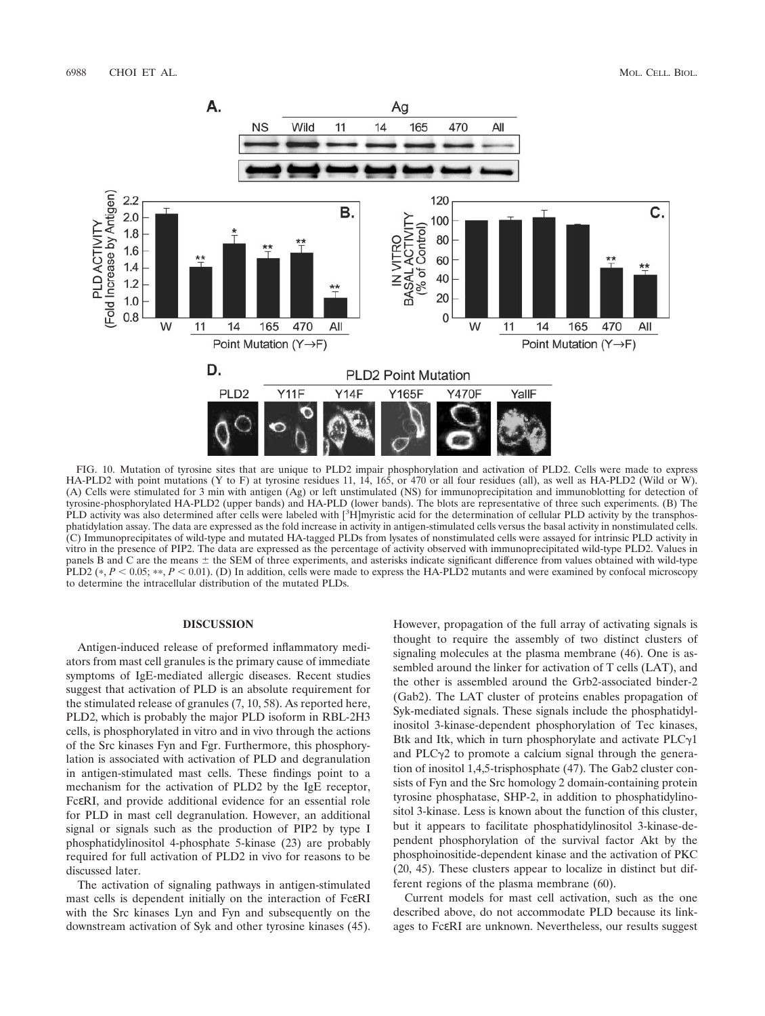

FIG. 10. Mutation of tyrosine sites that are unique to PLD2 impair phosphorylation and activation of PLD2. Cells were made to express HA-PLD2 with point mutations (Y to F) at tyrosine residues 11, 14, 165, or 470 or all four residues (all), as well as HA-PLD2 (Wild or W). (A) Cells were stimulated for 3 min with antigen (Ag) or left unstimulated (NS) for immunoprecipitation and immunoblotting for detection of tyrosine-phosphorylated HA-PLD2 (upper bands) and HA-PLD (lower bands). The blots are representative of three such experiments. (B) The PLD activity was also determined after cells were labeled with [<sup>3</sup>H]myristic acid for the determination of cellular PLD activity by the transphosphatidylation assay. The data are expressed as the fold increase in activity in antigen-stimulated cells versus the basal activity in nonstimulated cells. (C) Immunoprecipitates of wild-type and mutated HA-tagged PLDs from lysates of nonstimulated cells were assayed for intrinsic PLD activity in vitro in the presence of PIP2. The data are expressed as the percentage of activity observed with immunoprecipitated wild-type PLD2. Values in panels B and C are the means  $\pm$  the SEM of three experiments, and asterisks indicate significant difference from values obtained with wild-type PLD2 ( $*, P < 0.05; **, P < 0.01$ ). (D) In addition, cells were made to express the HA-PLD2 mutants and were examined by confocal microscopy to determine the intracellular distribution of the mutated PLDs.

### **DISCUSSION**

Antigen-induced release of preformed inflammatory mediators from mast cell granules is the primary cause of immediate symptoms of IgE-mediated allergic diseases. Recent studies suggest that activation of PLD is an absolute requirement for the stimulated release of granules (7, 10, 58). As reported here, PLD2, which is probably the major PLD isoform in RBL-2H3 cells, is phosphorylated in vitro and in vivo through the actions of the Src kinases Fyn and Fgr. Furthermore, this phosphorylation is associated with activation of PLD and degranulation in antigen-stimulated mast cells. These findings point to a mechanism for the activation of PLD2 by the IgE receptor, FcεRI, and provide additional evidence for an essential role for PLD in mast cell degranulation. However, an additional signal or signals such as the production of PIP2 by type I phosphatidylinositol 4-phosphate 5-kinase (23) are probably required for full activation of PLD2 in vivo for reasons to be discussed later.

The activation of signaling pathways in antigen-stimulated mast cells is dependent initially on the interaction of FcεRI with the Src kinases Lyn and Fyn and subsequently on the downstream activation of Syk and other tyrosine kinases (45).

However, propagation of the full array of activating signals is thought to require the assembly of two distinct clusters of signaling molecules at the plasma membrane (46). One is assembled around the linker for activation of T cells (LAT), and the other is assembled around the Grb2-associated binder-2 (Gab2). The LAT cluster of proteins enables propagation of Syk-mediated signals. These signals include the phosphatidylinositol 3-kinase-dependent phosphorylation of Tec kinases, Btk and Itk, which in turn phosphorylate and activate  $PLC_{\gamma}1$ and PLC $\gamma$ 2 to promote a calcium signal through the generation of inositol 1,4,5-trisphosphate (47). The Gab2 cluster consists of Fyn and the Src homology 2 domain-containing protein tyrosine phosphatase, SHP-2, in addition to phosphatidylinositol 3-kinase. Less is known about the function of this cluster, but it appears to facilitate phosphatidylinositol 3-kinase-dependent phosphorylation of the survival factor Akt by the phosphoinositide-dependent kinase and the activation of PKC (20, 45). These clusters appear to localize in distinct but different regions of the plasma membrane (60).

Current models for mast cell activation, such as the one described above, do not accommodate PLD because its linkages to FcεRI are unknown. Nevertheless, our results suggest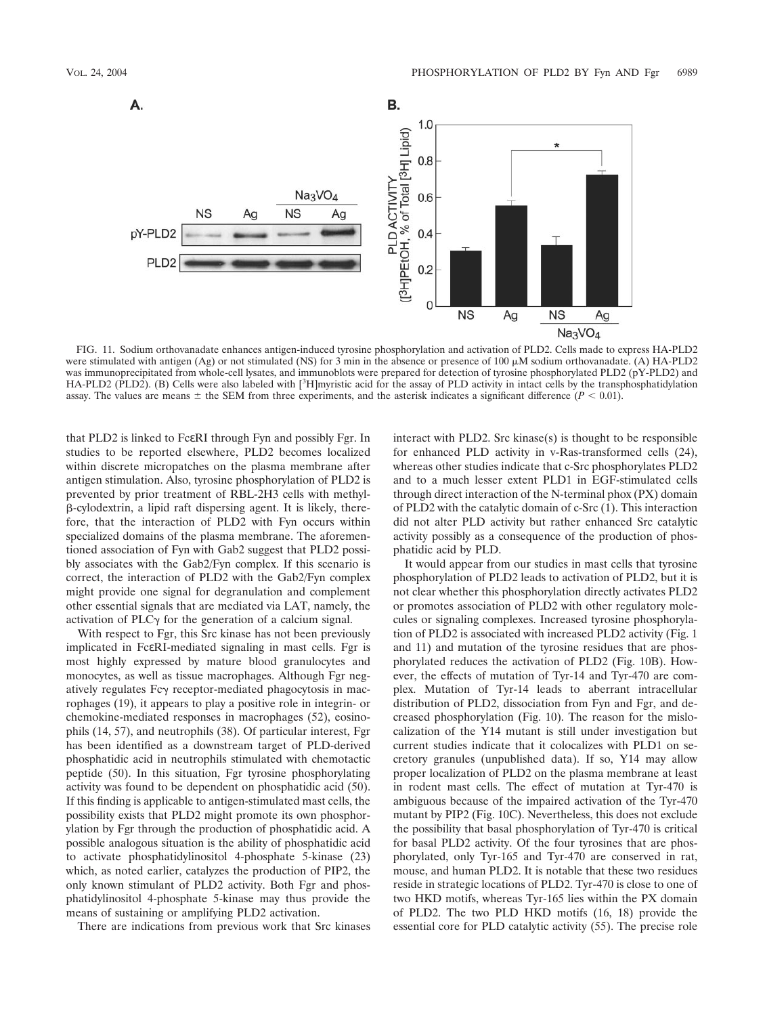

FIG. 11. Sodium orthovanadate enhances antigen-induced tyrosine phosphorylation and activation of PLD2. Cells made to express HA-PLD2 were stimulated with antigen (Ag) or not stimulated (NS) for 3 min in the absence or presence of 100  $\mu$ M sodium orthovanadate. (A) HA-PLD2 was immunoprecipitated from whole-cell lysates, and immunoblots were prepared for detection of tyrosine phosphorylated PLD2 (pY-PLD2) and HA-PLD2 (PLD2). (B) Cells were also labeled with [<sup>3</sup>H]myristic acid for the assay of PLD activity in intact cells by the transphosphatidylation assay. The values are means  $\pm$  the SEM from three experiments, and the asterisk indicates a significant difference ( $P < 0.01$ ).

that PLD2 is linked to FcεRI through Fyn and possibly Fgr. In studies to be reported elsewhere, PLD2 becomes localized within discrete micropatches on the plasma membrane after antigen stimulation. Also, tyrosine phosphorylation of PLD2 is prevented by prior treatment of RBL-2H3 cells with methyl- -cylodextrin, a lipid raft dispersing agent. It is likely, therefore, that the interaction of PLD2 with Fyn occurs within specialized domains of the plasma membrane. The aforementioned association of Fyn with Gab2 suggest that PLD2 possibly associates with the Gab2/Fyn complex. If this scenario is correct, the interaction of PLD2 with the Gab2/Fyn complex might provide one signal for degranulation and complement other essential signals that are mediated via LAT, namely, the activation of PLC $\gamma$  for the generation of a calcium signal.

With respect to Fgr, this Src kinase has not been previously implicated in FcεRI-mediated signaling in mast cells. Fgr is most highly expressed by mature blood granulocytes and monocytes, as well as tissue macrophages. Although Fgr negatively regulates  $Fc\gamma$  receptor-mediated phagocytosis in macrophages (19), it appears to play a positive role in integrin- or chemokine-mediated responses in macrophages (52), eosinophils (14, 57), and neutrophils (38). Of particular interest, Fgr has been identified as a downstream target of PLD-derived phosphatidic acid in neutrophils stimulated with chemotactic peptide (50). In this situation, Fgr tyrosine phosphorylating activity was found to be dependent on phosphatidic acid (50). If this finding is applicable to antigen-stimulated mast cells, the possibility exists that PLD2 might promote its own phosphorylation by Fgr through the production of phosphatidic acid. A possible analogous situation is the ability of phosphatidic acid to activate phosphatidylinositol 4-phosphate 5-kinase (23) which, as noted earlier, catalyzes the production of PIP2, the only known stimulant of PLD2 activity. Both Fgr and phosphatidylinositol 4-phosphate 5-kinase may thus provide the means of sustaining or amplifying PLD2 activation.

There are indications from previous work that Src kinases

interact with PLD2. Src kinase(s) is thought to be responsible for enhanced PLD activity in v-Ras-transformed cells (24), whereas other studies indicate that c-Src phosphorylates PLD2 and to a much lesser extent PLD1 in EGF-stimulated cells through direct interaction of the N-terminal phox (PX) domain of PLD2 with the catalytic domain of c-Src (1). This interaction did not alter PLD activity but rather enhanced Src catalytic activity possibly as a consequence of the production of phosphatidic acid by PLD.

It would appear from our studies in mast cells that tyrosine phosphorylation of PLD2 leads to activation of PLD2, but it is not clear whether this phosphorylation directly activates PLD2 or promotes association of PLD2 with other regulatory molecules or signaling complexes. Increased tyrosine phosphorylation of PLD2 is associated with increased PLD2 activity (Fig. 1 and 11) and mutation of the tyrosine residues that are phosphorylated reduces the activation of PLD2 (Fig. 10B). However, the effects of mutation of Tyr-14 and Tyr-470 are complex. Mutation of Tyr-14 leads to aberrant intracellular distribution of PLD2, dissociation from Fyn and Fgr, and decreased phosphorylation (Fig. 10). The reason for the mislocalization of the Y14 mutant is still under investigation but current studies indicate that it colocalizes with PLD1 on secretory granules (unpublished data). If so, Y14 may allow proper localization of PLD2 on the plasma membrane at least in rodent mast cells. The effect of mutation at Tyr-470 is ambiguous because of the impaired activation of the Tyr-470 mutant by PIP2 (Fig. 10C). Nevertheless, this does not exclude the possibility that basal phosphorylation of Tyr-470 is critical for basal PLD2 activity. Of the four tyrosines that are phosphorylated, only Tyr-165 and Tyr-470 are conserved in rat, mouse, and human PLD2. It is notable that these two residues reside in strategic locations of PLD2. Tyr-470 is close to one of two HKD motifs, whereas Tyr-165 lies within the PX domain of PLD2. The two PLD HKD motifs (16, 18) provide the essential core for PLD catalytic activity (55). The precise role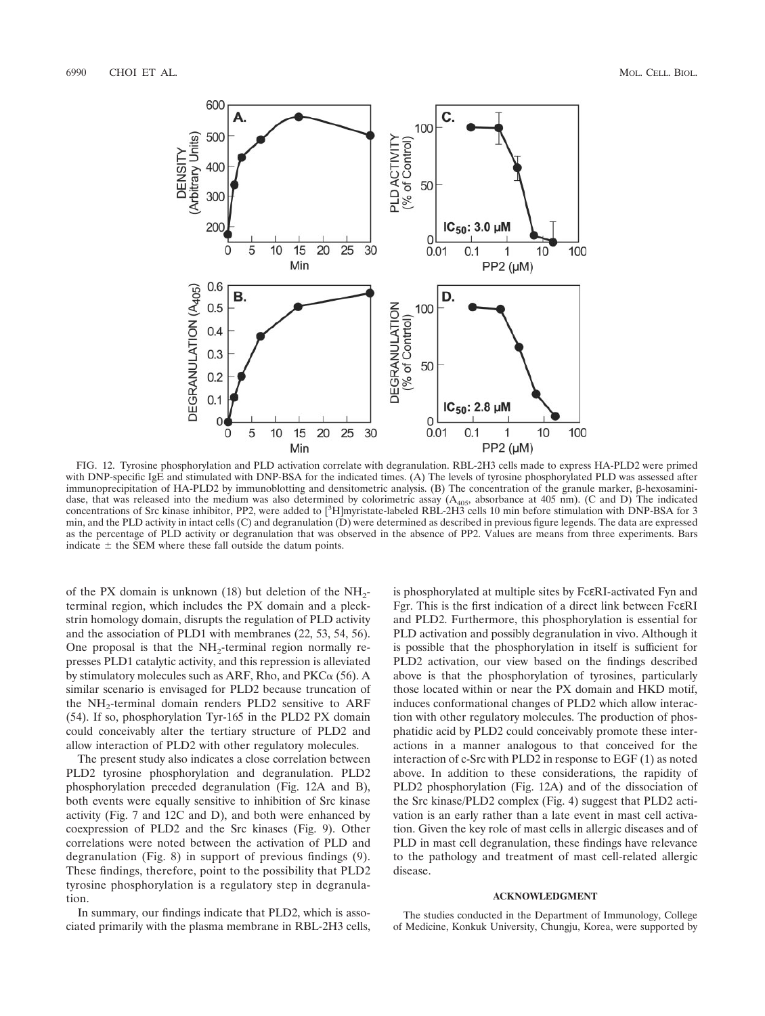

FIG. 12. Tyrosine phosphorylation and PLD activation correlate with degranulation. RBL-2H3 cells made to express HA-PLD2 were primed with DNP-specific IgE and stimulated with DNP-BSA for the indicated times. (A) The levels of tyrosine phosphorylated PLD was assessed after immunoprecipitation of HA-PLD2 by immunoblotting and densitometric analysis. (B) The concentration of the granule marker,  $\beta$ -hexosaminidase, that was released into the medium was also determined by colorimetric assay  $(A<sub>405</sub>,$  absorbance at 405 nm). (C and D) The indicated concentrations of Src kinase inhibitor, PP2, were added to [<sup>3</sup>H]myristate-labeled RBL-2H3 cells 10 min before stimulation with DNP-BSA for 3 min, and the PLD activity in intact cells (C) and degranulation (D) were determined as described in previous figure legends. The data are expressed as the percentage of PLD activity or degranulation that was observed in the absence of PP2. Values are means from three experiments. Bars indicate  $\pm$  the SEM where these fall outside the datum points.

of the PX domain is unknown (18) but deletion of the  $NH<sub>2</sub>$ terminal region, which includes the PX domain and a pleckstrin homology domain, disrupts the regulation of PLD activity and the association of PLD1 with membranes (22, 53, 54, 56). One proposal is that the  $NH<sub>2</sub>$ -terminal region normally represses PLD1 catalytic activity, and this repression is alleviated by stimulatory molecules such as ARF, Rho, and  $PKC\alpha$  (56). A similar scenario is envisaged for PLD2 because truncation of the NH<sub>2</sub>-terminal domain renders PLD2 sensitive to ARF (54). If so, phosphorylation Tyr-165 in the PLD2 PX domain could conceivably alter the tertiary structure of PLD2 and allow interaction of PLD2 with other regulatory molecules.

The present study also indicates a close correlation between PLD2 tyrosine phosphorylation and degranulation. PLD2 phosphorylation preceded degranulation (Fig. 12A and B), both events were equally sensitive to inhibition of Src kinase activity (Fig. 7 and 12C and D), and both were enhanced by coexpression of PLD2 and the Src kinases (Fig. 9). Other correlations were noted between the activation of PLD and degranulation (Fig. 8) in support of previous findings (9). These findings, therefore, point to the possibility that PLD2 tyrosine phosphorylation is a regulatory step in degranulation.

In summary, our findings indicate that PLD2, which is associated primarily with the plasma membrane in RBL-2H3 cells, is phosphorylated at multiple sites by FcεRI-activated Fyn and Fgr. This is the first indication of a direct link between FcεRI and PLD2. Furthermore, this phosphorylation is essential for PLD activation and possibly degranulation in vivo. Although it is possible that the phosphorylation in itself is sufficient for PLD2 activation, our view based on the findings described above is that the phosphorylation of tyrosines, particularly those located within or near the PX domain and HKD motif, induces conformational changes of PLD2 which allow interaction with other regulatory molecules. The production of phosphatidic acid by PLD2 could conceivably promote these interactions in a manner analogous to that conceived for the interaction of c-Src with PLD2 in response to EGF (1) as noted above. In addition to these considerations, the rapidity of PLD2 phosphorylation (Fig. 12A) and of the dissociation of the Src kinase/PLD2 complex (Fig. 4) suggest that PLD2 activation is an early rather than a late event in mast cell activation. Given the key role of mast cells in allergic diseases and of PLD in mast cell degranulation, these findings have relevance to the pathology and treatment of mast cell-related allergic disease.

### **ACKNOWLEDGMENT**

The studies conducted in the Department of Immunology, College of Medicine, Konkuk University, Chungju, Korea, were supported by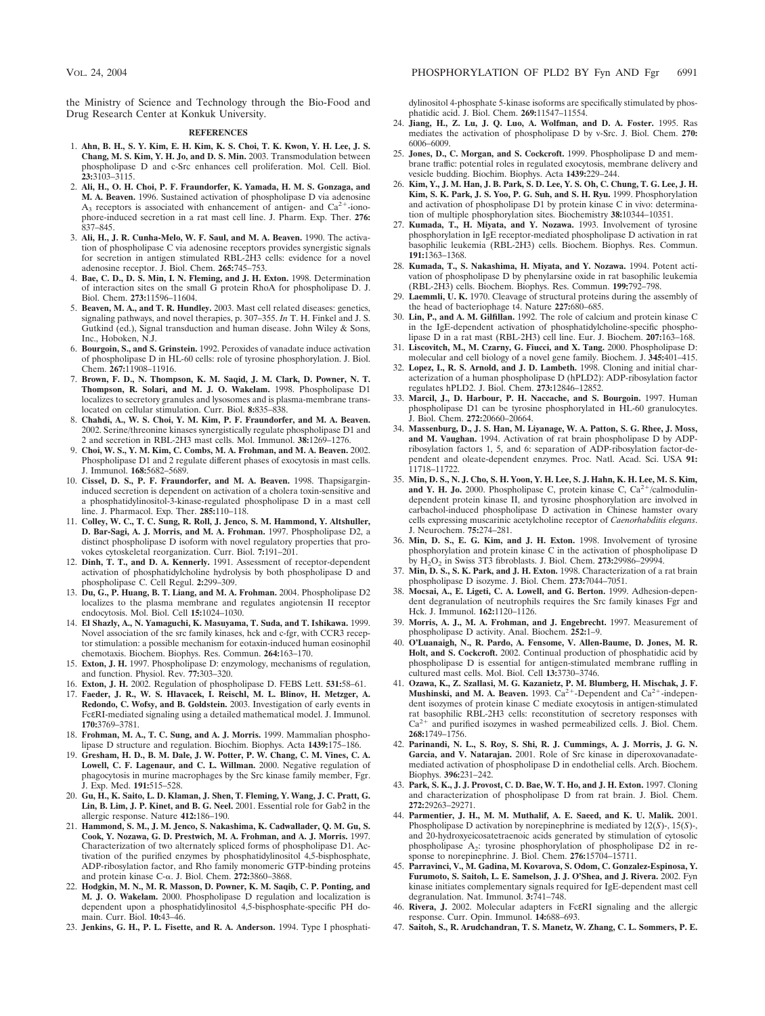the Ministry of Science and Technology through the Bio-Food and Drug Research Center at Konkuk University.

#### **REFERENCES**

- 1. **Ahn, B. H., S. Y. Kim, E. H. Kim, K. S. Choi, T. K. Kwon, Y. H. Lee, J. S. Chang, M. S. Kim, Y. H. Jo, and D. S. Min.** 2003. Transmodulation between phospholipase D and c-Src enhances cell proliferation. Mol. Cell. Biol. **23:**3103–3115.
- 2. **Ali, H., O. H. Choi, P. F. Fraundorfer, K. Yamada, H. M. S. Gonzaga, and M. A. Beaven.** 1996. Sustained activation of phospholipase D via adenosine  $A_3$  receptors is associated with enhancement of antigen- and  $Ca^{2+}$ -ionophore-induced secretion in a rat mast cell line. J. Pharm. Exp. Ther. **276:** 837–845.
- 3. **Ali, H., J. R. Cunha-Melo, W. F. Saul, and M. A. Beaven.** 1990. The activation of phospholipase C via adenosine receptors provides synergistic signals for secretion in antigen stimulated RBL-2H3 cells: evidence for a novel adenosine receptor. J. Biol. Chem. **265:**745–753.
- 4. **Bae, C. D., D. S. Min, I. N. Fleming, and J. H. Exton.** 1998. Determination of interaction sites on the small G protein RhoA for phospholipase D. J. Biol. Chem. **273:**11596–11604.
- 5. **Beaven, M. A., and T. R. Hundley.** 2003. Mast cell related diseases: genetics, signaling pathways, and novel therapies, p. 307–355. *In* T. H. Finkel and J. S. Gutkind (ed.), Signal transduction and human disease. John Wiley & Sons, Inc., Hoboken, N.J.
- 6. **Bourgoin, S., and S. Grinstein.** 1992. Peroxides of vanadate induce activation of phospholipase D in HL-60 cells: role of tyrosine phosphorylation. J. Biol. Chem. **267:**11908–11916.
- 7. **Brown, F. D., N. Thompson, K. M. Saqid, J. M. Clark, D. Powner, N. T. Thompson, R. Solari, and M. J. O. Wakelam.** 1998. Phospholipase D1 localizes to secretory granules and lysosomes and is plasma-membrane translocated on cellular stimulation. Curr. Biol. **8:**835–838.
- 8. **Chahdi, A., W. S. Choi, Y. M. Kim, P. F. Fraundorfer, and M. A. Beaven.** 2002. Serine/threonine kinases synergistically regulate phospholipase D1 and 2 and secretion in RBL-2H3 mast cells. Mol. Immunol. **38:**1269–1276.
- 9. **Choi, W. S., Y. M. Kim, C. Combs, M. A. Frohman, and M. A. Beaven.** 2002. Phospholipase D1 and 2 regulate different phases of exocytosis in mast cells. J. Immunol. **168:**5682–5689.
- 10. **Cissel, D. S., P. F. Fraundorfer, and M. A. Beaven.** 1998. Thapsigargininduced secretion is dependent on activation of a cholera toxin-sensitive and a phosphatidylinositol-3-kinase-regulated phospholipase D in a mast cell line. J. Pharmacol. Exp. Ther. **285:**110–118.
- 11. **Colley, W. C., T. C. Sung, R. Roll, J. Jenco, S. M. Hammond, Y. Altshuller, D. Bar-Sagi, A. J. Morris, and M. A. Frohman.** 1997. Phospholipase D2, a distinct phospholipase D isoform with novel regulatory properties that provokes cytoskeletal reorganization. Curr. Biol. **7:**191–201.
- 12. **Dinh, T. T., and D. A. Kennerly.** 1991. Assessment of receptor-dependent activation of phosphatidylcholine hydrolysis by both phospholipase D and phospholipase C. Cell Regul. **2:**299–309.
- 13. **Du, G., P. Huang, B. T. Liang, and M. A. Frohman.** 2004. Phospholipase D2 localizes to the plasma membrane and regulates angiotensin II receptor endocytosis. Mol. Biol. Cell **15:**1024–1030.
- 14. **El Shazly, A., N. Yamaguchi, K. Masuyama, T. Suda, and T. Ishikawa.** 1999. Novel association of the src family kinases, hck and c-fgr, with CCR3 receptor stimulation: a possible mechanism for eotaxin-induced human eosinophil chemotaxis. Biochem. Biophys. Res. Commun. **264:**163–170.
- 15. **Exton, J. H.** 1997. Phospholipase D: enzymology, mechanisms of regulation, and function. Physiol. Rev. **77:**303–320.
- 16. **Exton, J. H.** 2002. Regulation of phospholipase D. FEBS Lett. **531:**58–61.
- 17. **Faeder, J. R., W. S. Hlavacek, I. Reischl, M. L. Blinov, H. Metzger, A. Redondo, C. Wofsy, and B. Goldstein.** 2003. Investigation of early events in FcεRI-mediated signaling using a detailed mathematical model. J. Immunol. **170:**3769–3781.
- 18. **Frohman, M. A., T. C. Sung, and A. J. Morris.** 1999. Mammalian phospholipase D structure and regulation. Biochim. Biophys. Acta **1439:**175–186.
- 19. **Gresham, H. D., B. M. Dale, J. W. Potter, P. W. Chang, C. M. Vines, C. A. Lowell, C. F. Lagenaur, and C. L. Willman.** 2000. Negative regulation of phagocytosis in murine macrophages by the Src kinase family member, Fgr. J. Exp. Med. **191:**515–528.
- 20. **Gu, H., K. Saito, L. D. Klaman, J. Shen, T. Fleming, Y. Wang, J. C. Pratt, G. Lin, B. Lim, J. P. Kinet, and B. G. Neel.** 2001. Essential role for Gab2 in the allergic response. Nature **412:**186–190.
- 21. **Hammond, S. M., J. M. Jenco, S. Nakashima, K. Cadwallader, Q. M. Gu, S. Cook, Y. Nozawa, G. D. Prestwich, M. A. Frohman, and A. J. Morris.** 1997. Characterization of two alternately spliced forms of phospholipase D1. Activation of the purified enzymes by phosphatidylinositol 4,5-bisphosphate, ADP-ribosylation factor, and Rho family monomeric GTP-binding proteins and protein kinase C-α. J. Biol. Chem. 272:3860-3868.
- 22. **Hodgkin, M. N., M. R. Masson, D. Powner, K. M. Saqib, C. P. Ponting, and M. J. O. Wakelam.** 2000. Phospholipase D regulation and localization is dependent upon a phosphatidylinositol 4,5-bisphosphate-specific PH domain. Curr. Biol. **10:**43–46.
- 23. **Jenkins, G. H., P. L. Fisette, and R. A. Anderson.** 1994. Type I phosphati-

dylinositol 4-phosphate 5-kinase isoforms are specifically stimulated by phosphatidic acid. J. Biol. Chem. **269:**11547–11554.

- 24. **Jiang, H., Z. Lu, J. Q. Luo, A. Wolfman, and D. A. Foster.** 1995. Ras mediates the activation of phospholipase D by v-Src. J. Biol. Chem. **270:** 6006–6009.
- 25. **Jones, D., C. Morgan, and S. Cockcroft.** 1999. Phospholipase D and membrane traffic: potential roles in regulated exocytosis, membrane delivery and vesicle budding. Biochim. Biophys. Acta **1439:**229–244.
- 26. **Kim, Y., J. M. Han, J. B. Park, S. D. Lee, Y. S. Oh, C. Chung, T. G. Lee, J. H. Kim, S. K. Park, J. S. Yoo, P. G. Suh, and S. H. Ryu.** 1999. Phosphorylation and activation of phospholipase D1 by protein kinase C in vivo: determination of multiple phosphorylation sites. Biochemistry **38:**10344–10351.
- 27. **Kumada, T., H. Miyata, and Y. Nozawa.** 1993. Involvement of tyrosine phosphorylation in IgE receptor-mediated phospholipase D activation in rat basophilic leukemia (RBL-2H3) cells. Biochem. Biophys. Res. Commun. **191:**1363–1368.
- 28. **Kumada, T., S. Nakashima, H. Miyata, and Y. Nozawa.** 1994. Potent activation of phospholipase D by phenylarsine oxide in rat basophilic leukemia (RBL-2H3) cells. Biochem. Biophys. Res. Commun. **199:**792–798.
- 29. **Laemmli, U. K.** 1970. Cleavage of structural proteins during the assembly of the head of bacteriophage t4. Nature **227:**680–685.
- 30. **Lin, P., and A. M. Gilfillan.** 1992. The role of calcium and protein kinase C in the IgE-dependent activation of phosphatidylcholine-specific phospholipase D in a rat mast (RBL-2H3) cell line. Eur. J. Biochem. **207:**163–168.
- 31. **Liscovitch, M., M. Czarny, G. Fiucci, and X. Tang.** 2000. Phospholipase D: molecular and cell biology of a novel gene family. Biochem. J. **345:**401–415.
- 32. **Lopez, I., R. S. Arnold, and J. D. Lambeth.** 1998. Cloning and initial characterization of a human phospholipase D (hPLD2): ADP-ribosylation factor regulates hPLD2. J. Biol. Chem. **273:**12846–12852.
- 33. **Marcil, J., D. Harbour, P. H. Naccache, and S. Bourgoin.** 1997. Human phospholipase D1 can be tyrosine phosphorylated in HL-60 granulocytes. J. Biol. Chem. **272:**20660–20664.
- 34. **Massenburg, D., J. S. Han, M. Liyanage, W. A. Patton, S. G. Rhee, J. Moss, and M. Vaughan.** 1994. Activation of rat brain phospholipase D by ADPribosylation factors 1, 5, and 6: separation of ADP-ribosylation factor-dependent and oleate-dependent enzymes. Proc. Natl. Acad. Sci. USA **91:** 11718–11722.
- 35. **Min, D. S., N. J. Cho, S. H. Yoon, Y. H. Lee, S. J. Hahn, K. H. Lee, M. S. Kim, and Y. H. Jo.** 2000. Phospholipase C, protein kinase C,  $Ca^{2+}/cal$ calmodulindependent protein kinase II, and tyrosine phosphorylation are involved in carbachol-induced phospholipase D activation in Chinese hamster ovary cells expressing muscarinic acetylcholine receptor of *Caenorhabditis elegans*. J. Neurochem. **75:**274–281.
- 36. **Min, D. S., E. G. Kim, and J. H. Exton.** 1998. Involvement of tyrosine phosphorylation and protein kinase C in the activation of phospholipase D by H2O2 in Swiss 3T3 fibroblasts. J. Biol. Chem. **273:**29986–29994.
- 37. **Min, D. S., S. K. Park, and J. H. Exton.** 1998. Characterization of a rat brain phospholipase D isozyme. J. Biol. Chem. **273:**7044–7051.
- 38. **Mocsai, A., E. Ligeti, C. A. Lowell, and G. Berton.** 1999. Adhesion-dependent degranulation of neutrophils requires the Src family kinases Fgr and Hck. J. Immunol. **162:**1120–1126.
- 39. **Morris, A. J., M. A. Frohman, and J. Engebrecht.** 1997. Measurement of phospholipase D activity. Anal. Biochem. **252:**1–9.
- 40. **O'Luanaigh, N., R. Pardo, A. Fensome, V. Allen-Baume, D. Jones, M. R. Holt, and S. Cockcroft.** 2002. Continual production of phosphatidic acid by phospholipase D is essential for antigen-stimulated membrane ruffling in cultured mast cells. Mol. Biol. Cell **13:**3730–3746.
- 41. **Ozawa, K., Z. Szallasi, M. G. Kazanietz, P. M. Blumberg, H. Mischak, J. F.** Mushinski, and M. A. Beaven. 1993. Ca<sup>2+</sup>-Dependent and Ca<sup>2+</sup>-independent isozymes of protein kinase C mediate exocytosis in antigen-stimulated rat basophilic RBL-2H3 cells: reconstitution of secretory responses with  $Ca^{2+}$  and purified isozymes in washed permeabilized cells. J. Biol. Chem. **268:**1749–1756.
- 42. **Parinandi, N. L., S. Roy, S. Shi, R. J. Cummings, A. J. Morris, J. G. N. Garcia, and V. Natarajan.** 2001. Role of Src kinase in diperoxovanadatemediated activation of phospholipase D in endothelial cells. Arch. Biochem. Biophys. **396:**231–242.
- 43. **Park, S. K., J. J. Provost, C. D. Bae, W. T. Ho, and J. H. Exton.** 1997. Cloning and characterization of phospholipase D from rat brain. J. Biol. Chem. **272:**29263–29271.
- 44. **Parmentier, J. H., M. M. Muthalif, A. E. Saeed, and K. U. Malik.** 2001. Phospholipase D activation by norepinephrine is mediated by 12(*S*)-, 15(*S*)-, and 20-hydroxyeicosatetraenoic acids generated by stimulation of cytosolic phospholipase A2: tyrosine phosphorylation of phospholipase D2 in response to norepinephrine. J. Biol. Chem. **276:**15704–15711.
- 45. **Parravinci, V., M. Gadina, M. Kovarova, S. Odom, C. Gonzalez-Espinosa, Y. Furumoto, S. Saitoh, L. E. Samelson, J. J. O'Shea, and J. Rivera.** 2002. Fyn kinase initiates complementary signals required for IgE-dependent mast cell degranulation. Nat. Immunol. **3:**741–748.
- 46. **Rivera, J.** 2002. Molecular adapters in FcεRI signaling and the allergic response. Curr. Opin. Immunol. **14:**688–693.
- 47. **Saitoh, S., R. Arudchandran, T. S. Manetz, W. Zhang, C. L. Sommers, P. E.**